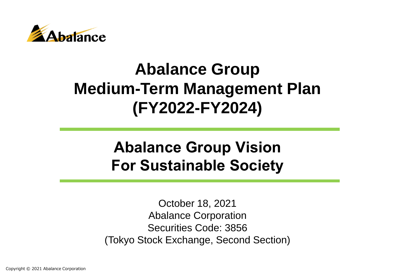

# **Abalance Group Medium-Term Management Plan (FY2022-FY2024)**

# **Abalance Group Vision For Sustainable Society**

October 18, 2021 Abalance Corporation Securities Code: 3856 (Tokyo Stock Exchange, Second Section)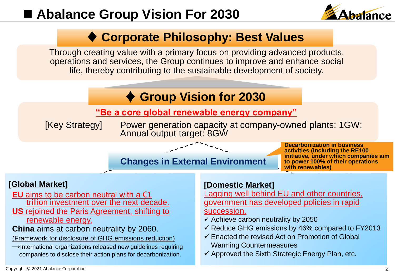# ■ **Abalance Group Vision For 2030**



## **♦ Corporate Philosophy: Best Values**

Through creating value with a primary focus on providing advanced products, operations and services, the Group continues to improve and enhance social life, thereby contributing to the sustainable development of society.

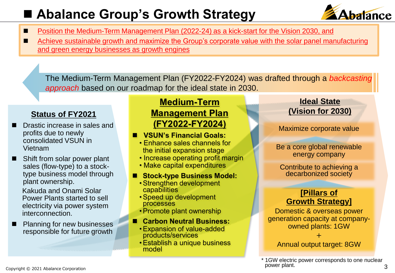# ■ Abalance Group's Growth Strategy



- Position the Medium-Term Management Plan (2022-24) as a kick-start for the Vision 2030, and
- Achieve sustainable growth and maximize the Group's corporate value with the solar panel manufacturing and green energy businesses as growth engines

The Medium-Term Management Plan (FY2022-FY2024) was drafted through a *backcasting approach* based on our roadmap for the ideal state in 2030.

### **Status of FY2021**

- Drastic increase in sales and profits due to newly consolidated VSUN in Vietnam
- Shift from solar power plant sales (flow-type) to a stocktype business model through plant ownership.

Kakuda and Onami Solar Power Plants started to sell electricity via power system interconnection.

■ Planning for new businesses responsible for future growth

### **Medium-Term Management Plan (FY2022-FY2024)**

- ◼ **VSUN's Financial Goals:**
	- Enhance sales channels for the initial expansion stage
	- Increase operating profit margin
	- Make capital expenditures
- Stock-type Business Model:
	- •Strengthen development capabilities
	- •Speed up development processes
	- •Promote plant ownership
- ◼ **Carbon Neutral Business:**
	- •Expansion of value-added products/services
	- •Establish a unique business model

### **Ideal State (Vision for 2030)**

Maximize corporate value

Be a core global renewable energy company

Contribute to achieving a decarbonized society

### **[Pillars of Growth Strategy]**

Domestic & overseas power generation capacity at companyowned plants: 1GW

+ Annual output target: 8GW

\* 1GW electric power corresponds to one nuclear power plant.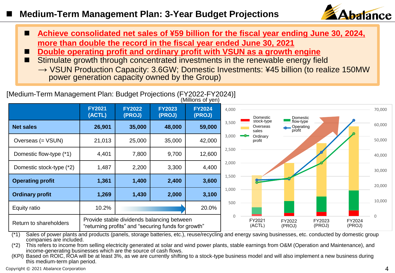### ◼ **Medium-Term Management Plan: 3-Year Budget Projections**



- Achieve consolidated net sales of ¥59 billion for the fiscal year ending June 30, 2024, **more than double the record in the fiscal year ended June 30, 2021**
- ◼ **Double operating profit and ordinary profit with VSUN as a growth engine**
- Stimulate growth through concentrated investments in the renewable energy field
	- $\rightarrow$  VSUN Production Capacity: 3.6GW; Domestic Investments: ¥45 billion (to realize 150MW power generation capacity owned by the Group)

#### [Medium-Term Management Plan: Budget Projections (FY2022-FY2024)] (Millions of yen)

|                          | <b>FY2021</b><br>(ACTL)                                                                           | <b>FY2022</b><br>(PROJ) | <b>FY2023</b><br>(PROJ) | <b>FY2024</b><br>(PROJ) | 4,000            | Domestic                        | Domestic                         |                  |   | 70,000 |
|--------------------------|---------------------------------------------------------------------------------------------------|-------------------------|-------------------------|-------------------------|------------------|---------------------------------|----------------------------------|------------------|---|--------|
| <b>Net sales</b>         | 26,901                                                                                            | 35,000                  | 48,000                  | 59,000                  | 3,500            | stock-type<br>Overseas<br>sales | flow-type<br>Operating<br>profit |                  |   | 60,000 |
| Overseas (= VSUN)        | 21,013                                                                                            | 25,000                  | 35,000                  | 42,000                  | 3,000            | Ordinary<br>profit              |                                  |                  |   | 50,000 |
| Domestic flow-type (*1)  | 4,401                                                                                             | 7,800                   | 9,700                   | 12,600                  | 2,500            |                                 |                                  |                  |   | 40,000 |
| Domestic stock-type (*2) | 1,487                                                                                             | 2,200                   | 3,300                   | 4,400                   | 2,000            |                                 |                                  |                  |   | 30,000 |
| <b>Operating profit</b>  | 1,361                                                                                             | 1,400                   | 2,400                   | 3,600                   | 1,500            |                                 |                                  |                  |   | 20,000 |
| <b>Ordinary profit</b>   | 1,269                                                                                             | 1,430                   | 2,000                   | 3,100                   | 1,000            |                                 |                                  |                  |   | 10,000 |
| Equity ratio             | 10.2%                                                                                             |                         |                         | 20.0%                   | 500              |                                 |                                  |                  |   |        |
| Return to shareholders   | Provide stable dividends balancing between<br>"returning profits" and "securing funds for growth" |                         |                         | $\mathbf 0$             | FY2021<br>(ACTL) | FY2022<br>(PROJ)                | FY2023<br>(PROJ)                 | FY2024<br>(PROJ) | 0 |        |

(\*1) Sales of power plants and products (panels, storage batteries, etc.), reuse/recycling and energy saving businesses, etc. conducted by domestic group companies are included.

(\*2) This refers to income from selling electricity generated at solar and wind power plants, stable earnings from O&M (Operation and Maintenance), and income-generating businesses which are the source of cash flows.

(KPI) Based on ROIC, ROA will be at least 3%, as we are currently shifting to a stock-type business model and will also implement a new business during this medium-term plan period.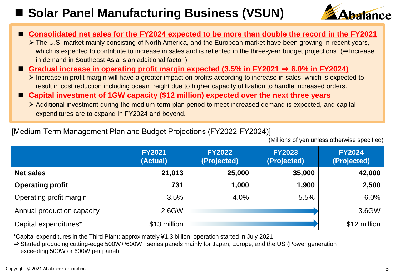# ■ Solar Panel Manufacturing Business (VSUN)



| ■ Consolidated net sales for the FY2024 expected to be more than double the record in the FY2021                       |
|------------------------------------------------------------------------------------------------------------------------|
| > The U.S. market mainly consisting of North America, and the European market have been growing in recent years,       |
| which is expected to contribute to increase in sales and is reflected in the three-year budget projections. (⇒Increase |
| in demand in Southeast Asia is an additional factor.)                                                                  |
| Gradual increase in operating profit margin expected (3.5% in FY2021 $\Rightarrow$ 6.0% in FY2024)                     |
| > Increase in profit margin will have a greater impact on profits according to increase in sales, which is expected to |
| result in cost reduction including ocean freight due to higher capacity utilization to handle increased orders.        |
| ■ Capital investment of 1GW capacity (\$12 million) expected over the next three years                                 |
| > Additional investment during the medium-term plan period to meet increased demand is expected, and capital           |

expenditures are to expand in FY2024 and beyond.

#### [Medium-Term Management Plan and Budget Projections (FY2022-FY2024)]

(Millions of yen unless otherwise specified)

|                            | <b>FY2021</b><br>(Actual) | <b>FY2022</b><br>(Projected) | <b>FY2023</b><br>(Projected) | <b>FY2024</b><br>(Projected) |
|----------------------------|---------------------------|------------------------------|------------------------------|------------------------------|
| <b>Net sales</b>           | 21,013                    | 25,000                       | 35,000                       | 42,000                       |
| <b>Operating profit</b>    | 731                       | 1,000                        | 1,900                        | 2,500                        |
| Operating profit margin    | 3.5%                      | 4.0%                         | 5.5%                         | 6.0%                         |
| Annual production capacity | 2.6GW                     |                              |                              | 3.6GW                        |
| Capital expenditures*      | \$13 million              |                              |                              | \$12 million                 |

\*Capital expenditures in the Third Plant: approximately ¥1.3 billion; operation started in July 2021

⇒Started producing cutting-edge 500W+/600W+ series panels mainly for Japan, Europe, and the US (Power generation exceeding 500W or 600W per panel)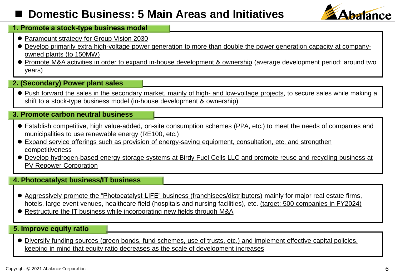## ◼ **Domestic Business: 5 Main Areas and Initiatives**



#### **1. Promote a stock-type business model**

- Paramount strategy for Group Vision 2030
- ⚫ Develop primarily extra high-voltage power generation to more than double the power generation capacity at companyowned plants (to 150MW)
- Promote M&A activities in order to expand in-house development & ownership (average development period: around two years)

#### **2. (Secondary) Power plant sales**

⚫ Push forward the sales in the secondary market, mainly of high- and low-voltage projects, to secure sales while making a shift to a stock-type business model (in-house development & ownership)

#### **3. Promote carbon neutral business**

- ⚫ Establish competitive, high value-added, on-site consumption schemes (PPA, etc.) to meet the needs of companies and municipalities to use renewable energy (RE100, etc.)
- ⚫ Expand service offerings such as provision of energy-saving equipment, consultation, etc. and strengthen competitiveness
- ⚫ Develop hydrogen-based energy storage systems at Birdy Fuel Cells LLC and promote reuse and recycling business at PV Repower Corporation

#### **4. Photocatalyst business/IT business**

- Aggressively promote the "Photocatalyst LIFE" business (franchisees/distributors) mainly for major real estate firms, hotels, large event venues, healthcare field (hospitals and nursing facilities), etc. (target: 500 companies in FY2024)
- Restructure the IT business while incorporating new fields through M&A

#### **5. Improve equity ratio**

⚫ Diversify funding sources (green bonds, fund schemes, use of trusts, etc.) and implement effective capital policies, keeping in mind that equity ratio decreases as the scale of development increases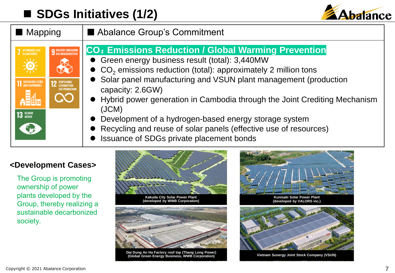# ■ **SDGs Initiatives (1/2)**



| Mapping                                                                                                                                                                                                                               | Abalance Group's Commitment                                                                                                                                                                                                                                                                                                                                                                                                                                                                                                                                                      |  |  |  |  |
|---------------------------------------------------------------------------------------------------------------------------------------------------------------------------------------------------------------------------------------|----------------------------------------------------------------------------------------------------------------------------------------------------------------------------------------------------------------------------------------------------------------------------------------------------------------------------------------------------------------------------------------------------------------------------------------------------------------------------------------------------------------------------------------------------------------------------------|--|--|--|--|
| <b>9 INDUSTRY, INNOVATION</b><br><b>9</b> AND INFRASTRUCTURE<br>AFFORDABLE AND<br>CLEAN ENERGY<br>$\frac{1}{\sqrt{2}}$<br>SUSTAINABLE CITIES<br><b>12 RESPONSIBLE</b><br><b>AND PRODUCTION</b><br>$\mathbf{A}$<br>13 GLIMATE<br>Egypt | CO <sub>2</sub> Emissions Reduction / Global Warming Prevention<br>• Green energy business result (total): 3,440MW<br>$\bullet$ CO <sub>2</sub> emissions reduction (total): approximately 2 million tons<br>Solar panel manufacturing and VSUN plant management (production<br>capacity: 2.6GW)<br>• Hybrid power generation in Cambodia through the Joint Crediting Mechanism<br>(JCM)<br>Development of a hydrogen-based energy storage system<br>$\bullet$<br>• Recycling and reuse of solar panels (effective use of resources)<br>Issuance of SDGs private placement bonds |  |  |  |  |

### **<Development Cases>**

The Group is promoting ownership of power plants developed by the Group, thereby realizing a sustainable decarbonized society.



**Dai Dung An Ha Factory roof top (Thang Long Power) (Global Green Energy Business, WWB Corporation) Vietnam Sunergy Joint Stock Company (VSUN)**



**Kunisaki Solar Power Plant (developed by VALORS inc.)**

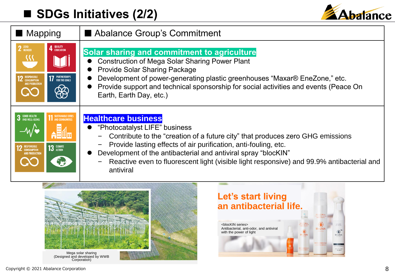# ■ **SDGs Initiatives (2/2)**



| ■ Mapping                                                                                                                                       | Abalance Group's Commitment                                                                                                                                                                                                                                                                                                                                                                                                              |  |  |  |  |  |
|-------------------------------------------------------------------------------------------------------------------------------------------------|------------------------------------------------------------------------------------------------------------------------------------------------------------------------------------------------------------------------------------------------------------------------------------------------------------------------------------------------------------------------------------------------------------------------------------------|--|--|--|--|--|
| 2 ZERO<br>4 <sup>QUALITY</sup><br>$\mathcal{S}$<br><b>17</b> PARTNERSHIPS<br>RESPONSIBLE<br>CONSUMPTION<br>$\partial\!\beta\!$                  | Solar sharing and commitment to agriculture<br><b>Construction of Mega Solar Sharing Power Plant</b><br><b>Provide Solar Sharing Package</b><br>Development of power-generating plastic greenhouses "Maxar® EneZone," etc.<br>Provide support and technical sponsorship for social activities and events (Peace On<br>Earth, Earth Day, etc.)                                                                                            |  |  |  |  |  |
| <b>3</b> GOOD HEALTH<br><b>11 SUSTAINABLE CITIES</b><br><b>13</b> GLIMATE<br><b>RESPONSIBLE</b><br>CONSUMPTION<br>ND PRODUCTIO<br>$\rightarrow$ | <b>Healthcare business</b><br>"Photocatalyst LIFE" business<br>Contribute to the "creation of a future city" that produces zero GHG emissions<br>-<br>Provide lasting effects of air purification, anti-fouling, etc.<br>$\qquad \qquad -$<br>Development of the antibacterial and antiviral spray "blocKIN"<br>$\bullet$<br>Reactive even to fluorescent light (visible light responsive) and 99.9% antibacterial and<br>—<br>antiviral |  |  |  |  |  |



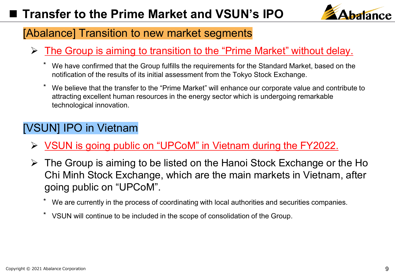

## [Abalance] Transition to new market segments

- ➢ The Group is aiming to transition to the "Prime Market" without delay.
	- We have confirmed that the Group fulfills the requirements for the Standard Market, based on the notification of the results of its initial assessment from the Tokyo Stock Exchange.
	- We believe that the transfer to the "Prime Market" will enhance our corporate value and contribute to attracting excellent human resources in the energy sector which is undergoing remarkable technological innovation.

### [VSUN] IPO in Vietnam

- ➢ VSUN is going public on "UPCoM" in Vietnam during the FY2022.
- $\triangleright$  The Group is aiming to be listed on the Hanoi Stock Exchange or the Ho Chi Minh Stock Exchange, which are the main markets in Vietnam, after going public on "UPCoM".
	- We are currently in the process of coordinating with local authorities and securities companies.
	- ⃰ VSUN will continue to be included in the scope of consolidation of the Group.